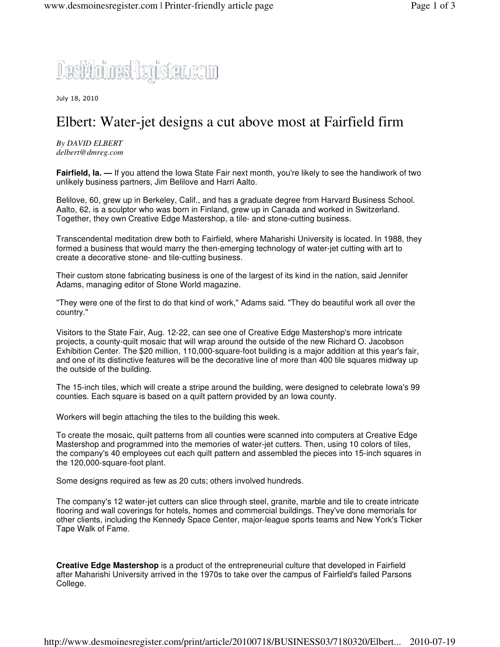

July 18, 2010

## Elbert: Water-jet designs a cut above most at Fairfield firm

*By DAVID ELBERT delbert@dmreg.com*

**Fairfield, Ia.** — If you attend the Iowa State Fair next month, you're likely to see the handiwork of two unlikely business partners, Jim Belilove and Harri Aalto.

Belilove, 60, grew up in Berkeley, Calif., and has a graduate degree from Harvard Business School. Aalto, 62, is a sculptor who was born in Finland, grew up in Canada and worked in Switzerland. Together, they own Creative Edge Mastershop, a tile- and stone-cutting business.

Transcendental meditation drew both to Fairfield, where Maharishi University is located. In 1988, they formed a business that would marry the then-emerging technology of water-jet cutting with art to create a decorative stone- and tile-cutting business.

Their custom stone fabricating business is one of the largest of its kind in the nation, said Jennifer Adams, managing editor of Stone World magazine.

"They were one of the first to do that kind of work," Adams said. "They do beautiful work all over the country."

Visitors to the State Fair, Aug. 12-22, can see one of Creative Edge Mastershop's more intricate projects, a county-quilt mosaic that will wrap around the outside of the new Richard O. Jacobson Exhibition Center. The \$20 million, 110,000-square-foot building is a major addition at this year's fair, and one of its distinctive features will be the decorative line of more than 400 tile squares midway up the outside of the building.

The 15-inch tiles, which will create a stripe around the building, were designed to celebrate Iowa's 99 counties. Each square is based on a quilt pattern provided by an Iowa county.

Workers will begin attaching the tiles to the building this week.

To create the mosaic, quilt patterns from all counties were scanned into computers at Creative Edge Mastershop and programmed into the memories of water-jet cutters. Then, using 10 colors of tiles, the company's 40 employees cut each quilt pattern and assembled the pieces into 15-inch squares in the 120,000-square-foot plant.

Some designs required as few as 20 cuts; others involved hundreds.

The company's 12 water-jet cutters can slice through steel, granite, marble and tile to create intricate flooring and wall coverings for hotels, homes and commercial buildings. They've done memorials for other clients, including the Kennedy Space Center, major-league sports teams and New York's Ticker Tape Walk of Fame.

**Creative Edge Mastershop** is a product of the entrepreneurial culture that developed in Fairfield after Maharishi University arrived in the 1970s to take over the campus of Fairfield's failed Parsons College.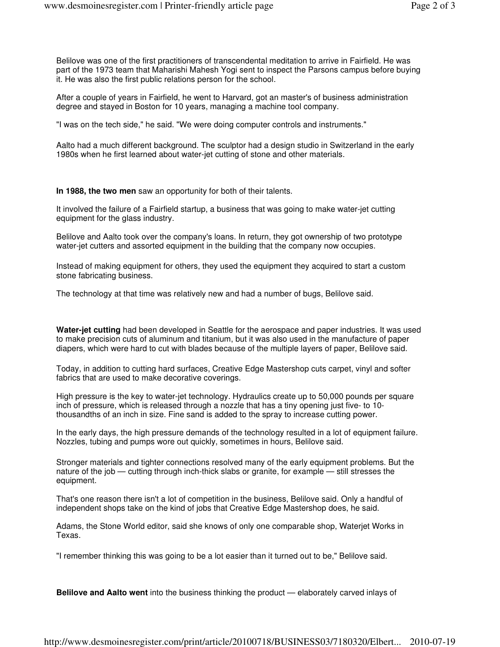Belilove was one of the first practitioners of transcendental meditation to arrive in Fairfield. He was part of the 1973 team that Maharishi Mahesh Yogi sent to inspect the Parsons campus before buying it. He was also the first public relations person for the school.

After a couple of years in Fairfield, he went to Harvard, got an master's of business administration degree and stayed in Boston for 10 years, managing a machine tool company.

"I was on the tech side," he said. "We were doing computer controls and instruments."

Aalto had a much different background. The sculptor had a design studio in Switzerland in the early 1980s when he first learned about water-jet cutting of stone and other materials.

**In 1988, the two men** saw an opportunity for both of their talents.

It involved the failure of a Fairfield startup, a business that was going to make water-jet cutting equipment for the glass industry.

Belilove and Aalto took over the company's loans. In return, they got ownership of two prototype water-jet cutters and assorted equipment in the building that the company now occupies.

Instead of making equipment for others, they used the equipment they acquired to start a custom stone fabricating business.

The technology at that time was relatively new and had a number of bugs, Belilove said.

**Water-jet cutting** had been developed in Seattle for the aerospace and paper industries. It was used to make precision cuts of aluminum and titanium, but it was also used in the manufacture of paper diapers, which were hard to cut with blades because of the multiple layers of paper, Belilove said.

Today, in addition to cutting hard surfaces, Creative Edge Mastershop cuts carpet, vinyl and softer fabrics that are used to make decorative coverings.

High pressure is the key to water-jet technology. Hydraulics create up to 50,000 pounds per square inch of pressure, which is released through a nozzle that has a tiny opening just five- to 10 thousandths of an inch in size. Fine sand is added to the spray to increase cutting power.

In the early days, the high pressure demands of the technology resulted in a lot of equipment failure. Nozzles, tubing and pumps wore out quickly, sometimes in hours, Belilove said.

Stronger materials and tighter connections resolved many of the early equipment problems. But the nature of the job — cutting through inch-thick slabs or granite, for example — still stresses the equipment.

That's one reason there isn't a lot of competition in the business, Belilove said. Only a handful of independent shops take on the kind of jobs that Creative Edge Mastershop does, he said.

Adams, the Stone World editor, said she knows of only one comparable shop, Waterjet Works in Texas.

"I remember thinking this was going to be a lot easier than it turned out to be," Belilove said.

**Belilove and Aalto went** into the business thinking the product — elaborately carved inlays of